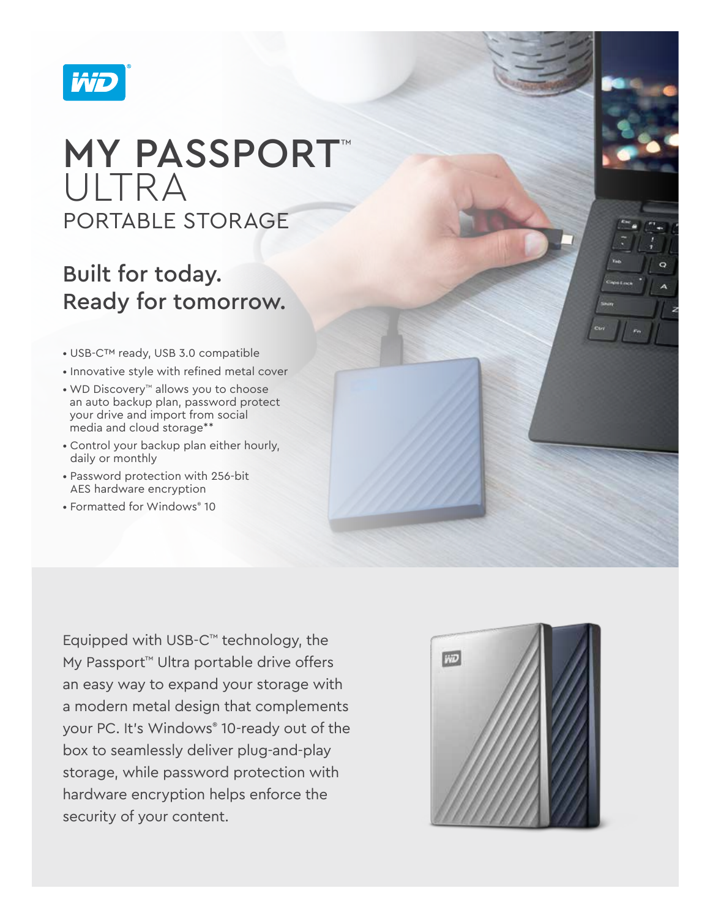

# **MY PASSPORT™** ULTRA PORTABLE STORAGE

## Built for today. Ready for tomorrow.

- USB-C™ ready, USB 3.0 compatible
- Innovative style with refined metal cover
- WD Discovery™ allows you to choose an auto backup plan, password protect your drive and import from social media and cloud storage\*\*
- Control your backup plan either hourly, daily or monthly
- Password protection with 256-bit AES hardware encryption
- Formatted for Windows® 10

Equipped with USB-C™ technology, the My Passport<sup>™</sup> Ultra portable drive offers an easy way to expand your storage with a modern metal design that complements your PC. It's Windows® 10-ready out of the box to seamlessly deliver plug-and-play storage, while password protection with hardware encryption helps enforce the security of your content.